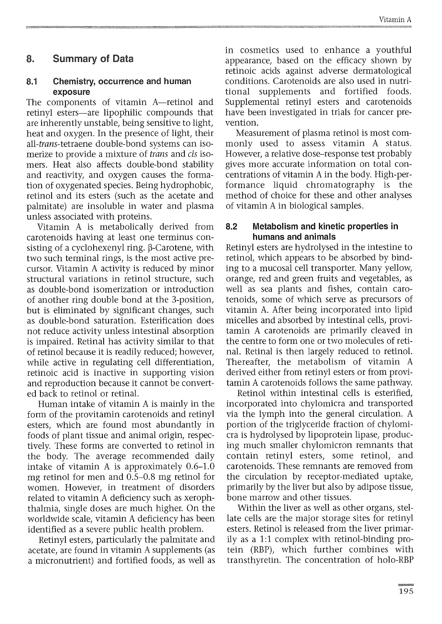# **8. Summary of Data**

### **8.1 Chemistry, occurrence and human exposure**

The components of vitamin A—retinol and retinyl esters—are lipophilic compounds that are inherently unstable, being sensitive to light, heat and oxygen. In the presence of light, their all*-trans*-tetraene double-bond systems can isomerize to provide a mixture of *trans* and *cis* isomers. Heat also affects double-bond stability and reactivity, and oxygen causes the formation of oxygenated species. Being hydrophobic, retinol and its esters (such as the acetate and palmitate) are insoluble in water and plasma unless associated with proteins.

Vitamin A is metabolically derived from carotenoids having at least one terminus consisting of a cyclohexenyl ring.  $\beta$ -Carotene, with two such terminal rings, is the most active precursor. Vitamin A activity is reduced by minor structural variations in retinol structure, such as double-bond isomerization or introduction of another ring double bond at the 3-position, but is eliminated by significant changes, such as double-bond saturation. Esterification does not reduce activity unless intestinal absorption is impaired. Retinal has activity similar to that of retinol because it is readily reduced; however, while active in regulating cell differentiation, retinoic acid is inactive in supporting vision and reproduction because it cannot be converted back to retinol or retinal.

Human intake of vitamin A is mainly in the form of the provitamin carotenoids and retinyl esters, which are found most abundantly in foods of plant tissue and animal origin, respectively. These forms are converted to retinol in the body. The average recommended daily intake of vitamin A is approximately 0.6-1.0 mg retinol for men and 0.5-0.8 mg retinol for women. However, in treatment of disorders related to vitamin A deficiency such as xerophthalmia, single doses are much higher. On the worldwide scale, vitamin A deficiency has been identified as a severe public health problem.

Retinyl esters, particularly the palmitate and acetate, are found in vitamin A supplements (as a micronutrient) and fortified foods, as well as in cosmetics used to enhance a youthful appearance, based on the efficacy shown by retinoic acids against adverse dermatological conditions. Carotenoids are also used in nutritional supplements and fortified foods. Supplemental retinyl esters and carotenoids have been investigated in trials for cancer prevention.

Measurement of plasma retinol is most commonly used to assess vitamin A status. However, a relative dose-response test probably gives more accurate information on total concentrations of vitamin A in the body. High-performance liquid chromatography is the method of choice for these and other analyses of vitamin A in biological samples.

### **8.2 Metabolism and kinetic properties in humans and animals**

Retinyl esters are hydrolysed in the intestine to retinol, which appears to be absorbed by binding to a mucosal cell transporter. Many yellow, orange, red and green fruits and vegetables, as well as sea plants and fishes, contain carotenoids, some of which serve as precursors of vitamin A. After being incorporated into lipid micelles and absorbed by intestinal cells, provitamin A carotenoids are primarily cleaved in the centre to form one or two molecules of retinal. Retinal is then largely reduced to retinol. Thereafter, the metabolism of vitamin A derived either from retinyl esters or from provitamin A carotenoids follows the same pathway.

Retinol within intestinal cells is esterified, incorporated into chylomicra and transported via the lymph into the general circulation. A portion of the triglyceride fraction of chylomicra is hydrolysed by lipoprotein lipase, producing much smaller chylomicron remnants that contain retinyl esters, some retinol, and carotenoids. These remnants are removed from the circulation by receptor-mediated uptake, primarily by the liver but also by adipose tissue, bone marrow and other tissues.

Within the liver as well as other organs, stellate cells are the major storage sites for retinyl esters. Retinol is released from the liver primarily as a 1:1 complex with retinol-binding protein (RBP), which further combines with transthyretin. The concentration of holo-RBP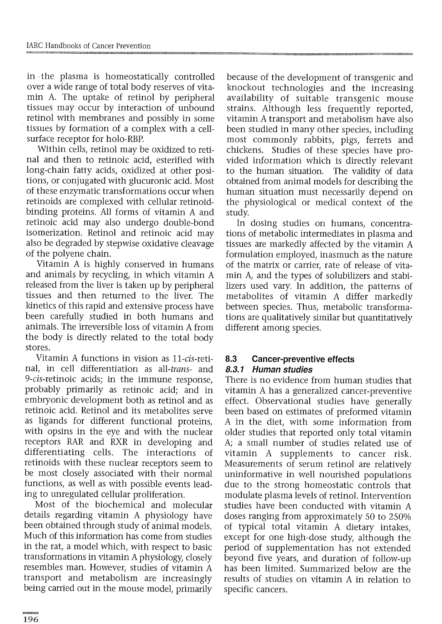in the plasma is homeostatically controlled over a wide range of total body reserves of vitamin A. The uptake of retinol by peripheral tissues may occur by interaction of unbound retinol with membranes and possibly in some tissues by formation of a complex with a cellsurface receptor for holo-RBP.

Within cells, retinol may be oxidized to retinal and then to retinoic acid, esterified with long-chain fatty acids, oxidized at other positions, or conjugated with glucuronic acid. Most of these enzymatic transformations occur when retinoids are complexed with cellular retinoidbinding proteins. All forms of vitamin A and retinoic acid may also undergo double-bond isomerization. Retinol and retinoic acid may also be degraded by stepwise oxidative cleavage of the polyene chain.

Vitamin A is highly conserved in humans and animals by recycling, in which vitamin A released from the liver is taken up by peripheral tissues and then returned to the liver. The kinetics of this rapid and extensive process have been carefully studied in both humans and animals. The irreversible loss of vitamin A from the body is directly related to the total body stores.

Vitamin A functions in vision as 11*-cis-reti*nal, in cell differentiation as *all-trans-* and 9-cis-retinoic acids; in the immune response, probably primarily as retinoic acid; and in embryonic development both as retinol and as retinoic acid. Retinol and its metabolites serve as ligands for different functional proteins, with opsins in the eye and with the nuclear receptors RAR and RXR in developing and differentiating cells. The interactions of retinoids with these nuclear receptors seem to be most closely associated with their normal functions, as well as with possible events leading to unregulated cellular proliferation.

Most of the biochemical and molecular details regarding vitamin A physiology have been obtained through study of animal models. Much of this information has come from studies in the rat, a model which, with respect to basic transformations in vitamin A physiology, closely resembles man. However, studies of vitamin A transport and metabolism are increasingly being carried out in the mouse model, primarily

because of the development of transgenic and knockout technologies and the increasing availability of suitable transgenic mouse strains. Although less frequently reported, vitamin A transport and metabolism have also been studied in many other species, including most commonly rabbits, pigs, ferrets and chickens. Studies of these species have provided information which is directly relevant to the human situation. The validity of data obtained from animal models for describing the human situation must necessarily depend on the physiological or medical context of the study.

In dosing studies on humans, concentrations of metabolic intermediates in plasma and tissues are markedly affected by the vitamin A formulation employed, inasmuch as the nature of the matrix or carrier, rate of release of vitamin A, and the types of solubilizers and stabilizers used vary. In addition, the patterns of metabolites of vitamin A differ markedly between species. Thus, metabolic transformations are qualitatively similar but quantitatively different among species.

#### **8.3 Cancer-preventive effects 83.1 Human studies**

There is no evidence from human studies that vitamin A has a generalized cancer-preventive effect. Observational studies have generally been based on estimates of preformed vitamin A in the diet, with some information from older studies that reported only total vitamin A; a small number of studies related use of vitamin A supplements to cancer risk. Measurements of serum retinol are relatively uninformative in well nourished populations due to the strong homeostatic controls that modulate plasma levels of retinol. Intervention studies have been conducted with vitamin A doses ranging from approximately 50 to 250% of typical total vitamin A dietary intakes, except for one high-dose study, although the period of supplementation has not extended beyond five years, and duration of follow-up has been limited. Summarized below are the results of studies on vitamin A in relation to specific cancers.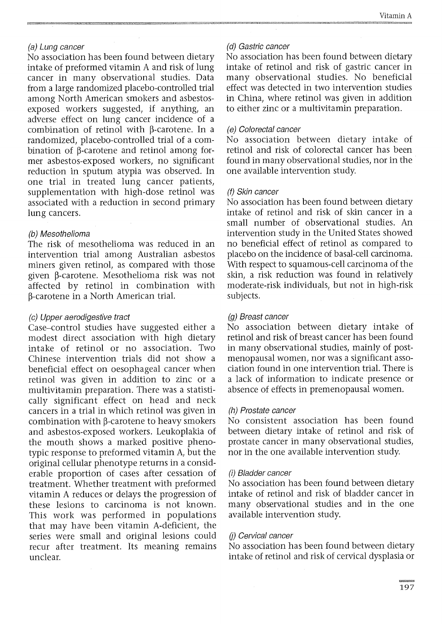### (a) Lung cancer

No association has been found between dietary intake of preformed vitamin A and risk of lung cancer in many observational studies. Data from a large randomized placebo-controlled trial among North American smokers and asbestosexposed workers suggested, if anything, an adverse effect on lung cancer incidence of a combination of retinol with  $\beta$ -carotene. In a randomized, placebo-controlled trial of a combination of  $\beta$ -carotene and retinol among former asbestos-exposed workers, no significant reduction in sputum atypia was observed. In one trial in treated lung cancer patients, supplementation with high-dose retinol was associated with a reduction in second primary lung cancers.

### (b) Mesothelioma

The risk of mesothelioma was reduced in an intervention trial among Australian asbestos miners given retinol, as compared with those given β-carotene. Mesothelioma risk was not affected by retinol in combination with <sup>13</sup>-carotene in a North American trial.

### (c) Upper aerodigestive tract

Case—control studies have suggested either a modest direct association with high dietary intake of retinol or no association. Two Chinese intervention trials did not show a beneficial effect on oesophageal cancer when retinol was given in addition to zinc or a multivitamin preparation. There was a statistically significant effect on head and neck cancers in a trial in which retinol was given in combination with  $\beta$ -carotene to heavy smokers and asbestos-exposed workers. Leukoplakia of the mouth shows a marked positive phenotypic response to preformed vitamin A, but the original cellular phenotype returns in a considerable proportion of cases after cessation of treatment. Whether treatment with preformed vitamin A reduces or delays the progression of these lesions to carcinoma is not known. This work was performed in populations that may have been vitamin A-deficient, the series were small and original lesions could recur after treatment. Its meaning remains unclear.

### (d) Gastric cancer

No association has been found between dietary intake of retinol and risk of gastric cancer in many observational studies. No beneficial effect was detected in two intervention studies in China, where retinol was given in addition to either zinc or a multivitamin preparation.

### (e) Colorectal cancer

No association between dietary intake of retinol and risk of colorectal cancer has been found in many observational studies, nor in the one available intervention study.

### (f) Skin cancer

No association has been found between dietary intake of retinol and risk of skin cancer in a small number of observational studies. An intervention study in the United States showed no beneficial effect of retinol as compared to placebo on the incidence of basal-cell carcinoma. With respect to squamous-cell carcinoma of the skin, a risk reduction was found in relatively moderate-risk individuals, but not in high-risk subjects.

### (g) Breast cancer

No association between dietary intake of retinol and risk of breast cancer has been found in many observational studies, mainly of postmenopausal women, nor was a significant association found in one intervention trial. There is a lack of information to indicate presence or absence of effects in premenopausal women.

### (h) Prostate cancer

No consistent association has been found between dietary intake of retinol and risk of prostate cancer in many observational studies, nor in the one available intervention study.

#### *(I)* Bladder cancer

No association has been found between dietary intake of retinol and risk of bladder cancer in many observational studies and in the one available intervention study.

#### (i) Cervical cancer

No association has been found between dietary intake of retinol and risk of cervical dysplasia or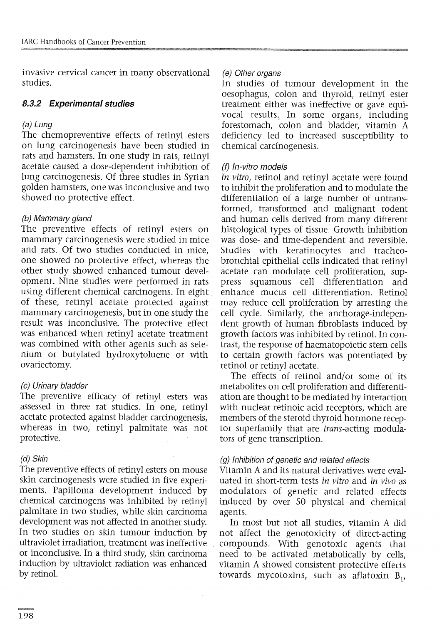invasive cervical cancer in many observational studies.

# **8.3.2 Experimental studies**

## (a) Lung

The chemopreventive effects of retinyl esters on lung carcinogenesis have been studied in rats and hamsters. In one study in rats, retinyl acetate caused a dose-dependent inhibition of lung carcinogenesis. Of three studies in Syrian golden hamsters, one was inconclusive and two showed no protective effect.

# (b) Mammary gland

The preventive effects of retinyl esters on mammary carcinogenesis were studied in mice and rats. Of two studies conducted in mice, one showed no protective effect, whereas the other study showed enhanced tumour development. Nine studies were performed in rats using different chemical carcinogens. In eight of these, retinyl acetate protected against mammary carcinogenesis, but in one study the result was inconclusive. The protective effect was enhanced when retinyl acetate treatment was combined with other agents such as selenium or butylated hydroxytoluene or with ovariectomy.

# (c) Urinary bladder

The preventive efficacy of retinyl esters was assessed in three rat studies. In one, retinyl acetate protected against bladder carcinogenesis, whereas in two, retinyl palmitate was not protective.

# (d) Skin

The preventive effects of retinyl esters on mouse skin carcinogenesis were studied in five experiments. Papilloma development induced by chemical carcinogens was inhibited by retinyl palmitate in two studies, while skin carcinoma development was not affected in another study. In two studies on skin tumour induction by ultraviolet irradiation, treatment was ineffective or inconclusive. In a third study, skin carcinoma induction by ultraviolet radiation was enhanced by retinol,

# (e) Other organs

In studies of tumour development in the oesophagus, colon and thyroid, retinyl ester treatment either was ineffective or gave equivocal results. In some organs, including forestomach, colon and bladder, vitamin A deficiency led to increased susceptibility to chemical carcinogenesis.

# (f) In-vitro models

*In* vitro, retinol and retinyl acetate were found to inhibit the proliferation and to modulate the differentiation of a large number of untransformed, transformed and malignant rodent and human cells derived from many different histological types of tissue. Growth inhibition was dose- and time-dependent and reversible. Studies with keratinocytes and tracheobronchial epithelial cells indicated that retinyl acetate can modulate cell proliferation, suppress squamous cell differentiation and enhance mucus cell differentiation. Retinol may reduce cell proliferation by arresting the cell cycle. Similarly, the anchorage-independent growth of human fibroblasts induced by growth factors was inhibited by retinol. In contrast, the response of haematopoietic stem cells to certain growth factors was potentiated by retinol or retinyl acetate.

The effects of retinol and/or some of its metabolites on cell proliferation and differentiation are thought to be mediated by interaction with nuclear retinoic acid receptors, which are members of the steroid thyroid hormone receptor superfamily that are *trans*-acting modulators of gene transcription.

# (g) Inhibition of genetic and related effects

Vitamin A and its natural derivatives were evaluated in short-term tests in vitro and in vivo as modulators of genetic and related effects induced by over 50 physical and chemical agents.

In most but not all studies, vitamin A did not affect the genotoxicity of direct-acting compounds. With genotoxic agents that need to be activated metabolically by cells, vitamin A showed consistent protective effects towards mycotoxins, such as aflatoxin  $B_1$ ,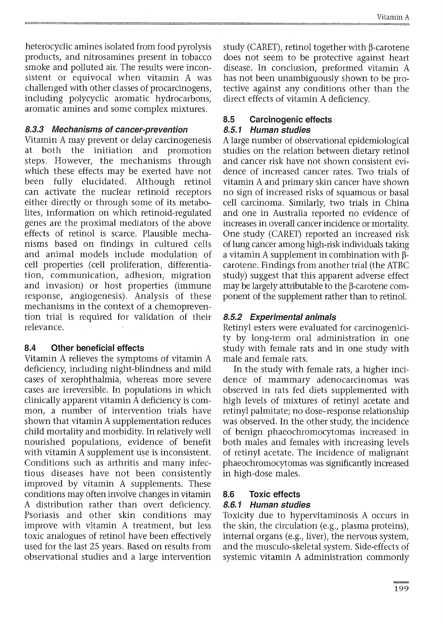heterocyclic amines isolated from food pyrolysis products, and nitrosamines present in tobacco smoke and polluted air. The results were inconsistent or equivocal when vitamin A was challenged with other classes of procarcinogens, including polycyclic aromatic hydrocarbons, aromatic amines and some complex mixtures.

### **8.3.3 Mechanisms of cancer-prevention**

Vitamin A may prevent or delay carcinogenesis at both the initiation and promotion steps. However, the mechanisms through which these effects may be exerted have not been fully elucidated. Although retinol can activate the nuclear retinoid receptors either directly or through some of its metabolites, information on which retinoid-regulated genes are the proximal mediators of the above effects of retinol is scarce. Plausible mechanisms based on findings in cultured cells and animal models include modulation of cell properties (cell proliferation, differentiation, communication, adhesion, migration and invasion) or host properties (immune response, angiogenesis). Analysis of these mechanisms in the context of a chemoprevention trial is required for validation of their relevance.

### **8.4 Other beneficial effects**

Vitamin A relieves the symptoms of vitamin A deficiency, including night-blindness and mild cases of xerophthalmia, whereas more severe cases are irreversible. In populations in which clinically apparent vitamin A deficiency is common, a number of intervention trials have shown that vitamin A supplementation reduces child mortality and morbidity. In relatively well nourished populations, evidence of benefit with vitamin A supplement use is inconsistent. Conditions such as arthritis and many infectious diseases have not been consistently improved by vitamin A supplements. These conditions may often involve changes in vitamin A distribution rather than overt deficiency. Psoriasis and other skin conditions may improve with vitamin A treatment, but less toxic analogues of retinol have been effectively used for the last 25 years. Based on results from observational studies and a large intervention study (CARET), retinol together with  $\beta$ -carotene does not seem to be protective against heart disease. In conclusion, preformed vitamin A has not been unambiguously shown to be protective against any conditions other than the direct effects of vitamin A deficiency.

# **8.5 Carcinogenic effects**

### **8.5.1 Human studies**

A large number of observational epidemiological studies on the relation between dietary retinol and cancer risk have not shown consistent evidence of increased cancer rates. Two trials of vitamin A and primary skin cancer have shown no sign of increased risks of squamous or basal cell carcinoma. Similarly, two trials in China and one in Australia reported no evidence of increases in overall cancer incidence or mortality. One study (CARET) reported an increased risk of lung cancer among high-risk individuals taking a vitamin A supplement in combination with  $\beta$ carotene. Findings from another trial (the ATBC study) suggest that this apparent adverse effect may be largely attributable to the  $\beta$ -carotene component of the supplement rather than to retinol.

## **8.5.2 Experimental animais**

Retinyl esters were evaluated for carcinogenicity by long-term oral administration in one study with female rats and in one study with male and female rats.

In the study with female rats, a higher incidence of mammary adenocarcinomas was observed in rats fed diets supplemented with high levels of mixtures of retinyl acetate and retinyl palmitate; no dose-response relationship was observed. In the other study, the incidence of benign phaeochromocytomas increased in both males and females with increasing levels of retinyl acetate. The incidence of malignànt phaeochromocytomas was significantly increased in high-dose males.

# **8.6 Toxic effects**

### **8.6.1 Human studies**

Toxicity due to hypervitaminosis A occurs in the skin, the circulation (e.g., plasma proteins), internal organs (e.g., liver), the nervous system, and the musculo-skeletal system. Side-effects of systemic vitamin A administration commonly